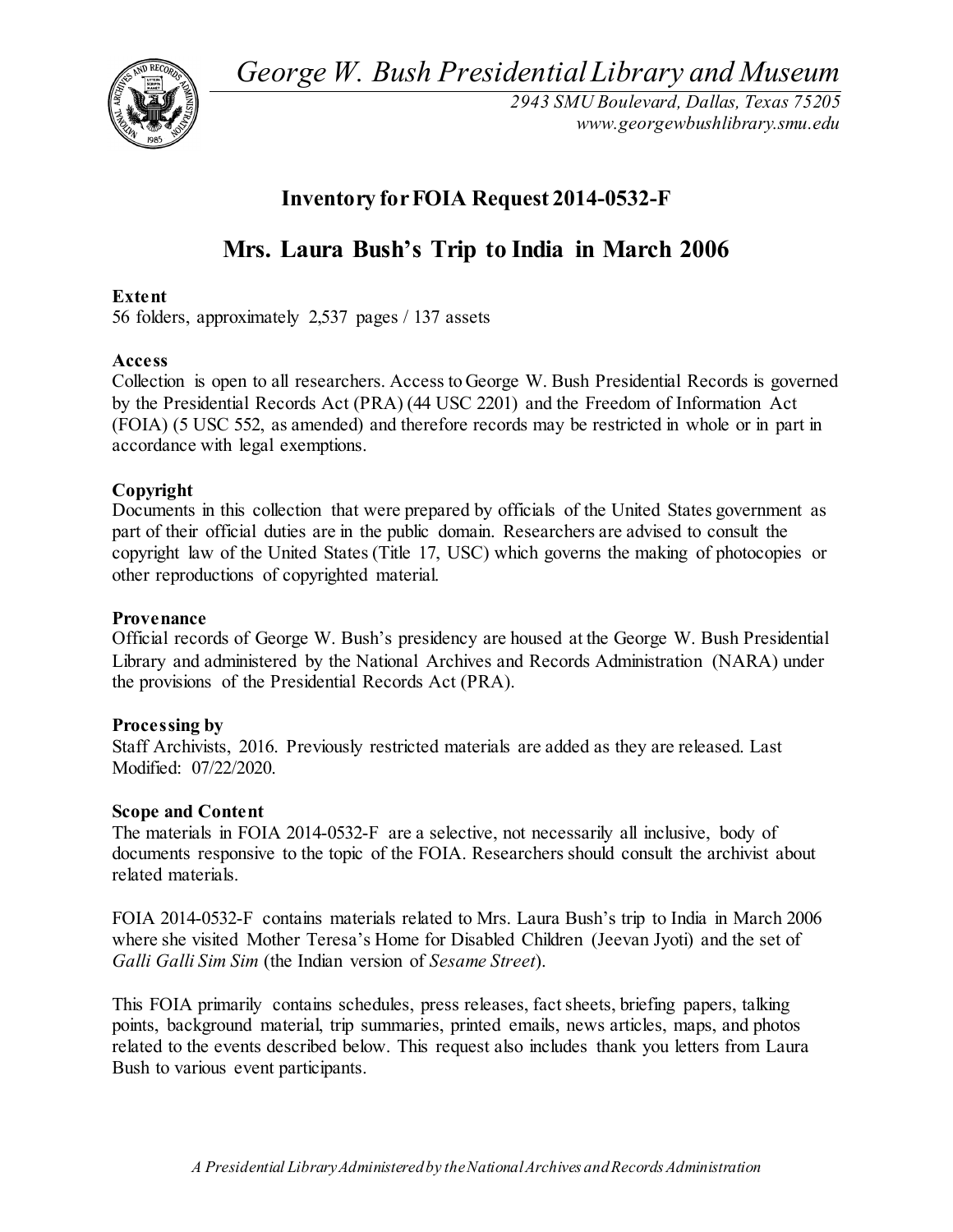*George W. Bush Presidential Library and Museum* 



*2943 SMU Boulevard, Dallas, Texas 75205 <www.georgewbushlibrary.smu.edu>*

## **Inventory for FOIA Request 2014-0532-F**

# **Mrs. Laura Bush's Trip to India in March 2006**

## **Extent**

56 folders, approximately 2,537 pages / 137 assets

## **Access**

 Collection is open to all researchers. Access to George W. Bush Presidential Records is governed by the Presidential Records Act (PRA) (44 USC 2201) and the Freedom of Information Act (FOIA) (5 USC 552, as amended) and therefore records may be restricted in whole or in part in accordance with legal exemptions.

## **Copyright**

 Documents in this collection that were prepared by officials of the United States government as part of their official duties are in the public domain. Researchers are advised to consult the copyright law of the United States (Title 17, USC) which governs the making of photocopies or other reproductions of copyrighted material.

## **Provenance**

 Official records of George W. Bush's presidency are housed at the George W. Bush Presidential the provisions of the Presidential Records Act (PRA). Library and administered by the National Archives and Records Administration (NARA) under

## **Processing by**

 Staff Archivists, 2016. Previously restricted materials are added as they are released. Last Modified: 07/22/2020.

## **Scope and Content**

 The materials in FOIA 2014-0532-F are a selective, not necessarily all inclusive, body of documents responsive to the topic of the FOIA. Researchers should consult the archivist about related materials.

 where she visited Mother Teresa's Home for Disabled Children (Jeevan Jyoti) and the set of FOIA 2014-0532-F contains materials related to Mrs. Laura Bush's trip to India in March 2006 *Galli Galli Sim Sim* (the Indian version of *Sesame Street*).

 This FOIA primarily contains schedules, press releases, fact sheets, briefing papers, talking points, background material, trip summaries, printed emails, news articles, maps, and photos related to the events described below. This request also includes thank you letters from Laura Bush to various event participants.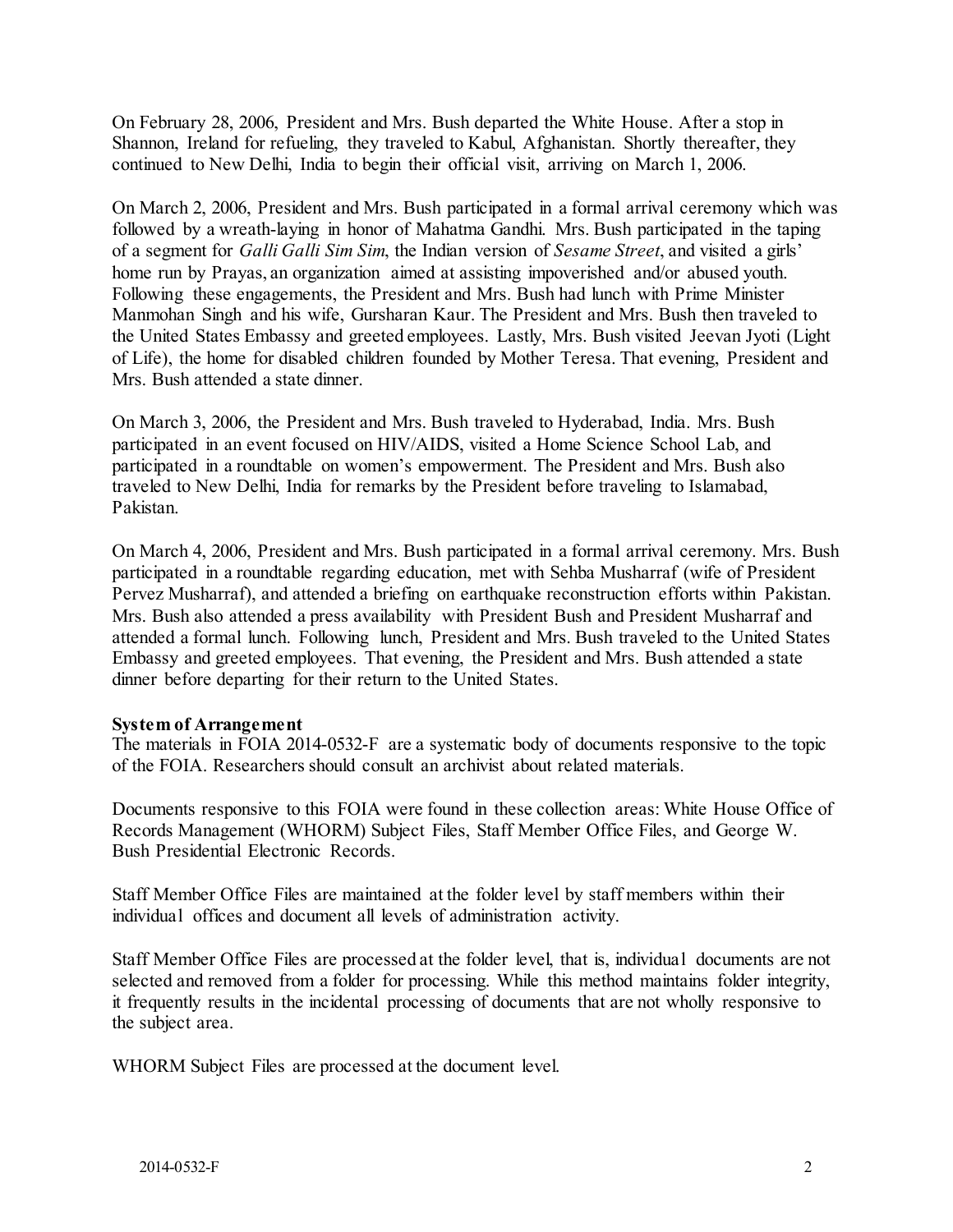On February 28, 2006, President and Mrs. Bush departed the White House. After a stop in Shannon, Ireland for refueling, they traveled to Kabul, Afghanistan. Shortly thereafter, they continued to New Delhi, India to begin their official visit, arriving on March 1, 2006.

 On March 2, 2006, President and Mrs. Bush participated in a formal arrival ceremony which was followed by a wreath-laying in honor of Mahatma Gandhi. Mrs. Bush participated in the taping of a segment for *Galli Galli Sim Sim*, the Indian version of *Sesame Street*, and visited a girls' Manmohan Singh and his wife, Gursharan Kaur. The President and Mrs. Bush then traveled to the United States Embassy and greeted employees. Lastly, Mrs. Bush visited Jeevan Jyoti (Light of Life), the home for disabled children founded by Mother Teresa. That evening, President and home run by Prayas, an organization aimed at assisting impoverished and/or abused youth. Following these engagements, the President and Mrs. Bush had lunch with Prime Minister Mrs. Bush attended a state dinner.

 On March 3, 2006, the President and Mrs. Bush traveled to Hyderabad, India. Mrs. Bush participated in an event focused on HIV/AIDS, visited a Home Science School Lab, and traveled to New Delhi, India for remarks by the President before traveling to Islamabad, participated in a roundtable on women's empowerment. The President and Mrs. Bush also Pakistan.

 On March 4, 2006, President and Mrs. Bush participated in a formal arrival ceremony. Mrs. Bush attended a formal lunch. Following lunch, President and Mrs. Bush traveled to the United States Embassy and greeted employees. That evening, the President and Mrs. Bush attended a state participated in a roundtable regarding education, met with Sehba Musharraf (wife of President Pervez Musharraf), and attended a briefing on earthquake reconstruction efforts within Pakistan. Mrs. Bush also attended a press availability with President Bush and President Musharraf and dinner before departing for their return to the United States.

#### **System of Arrangement**

 The materials in FOIA 2014-0532-F are a systematic body of documents responsive to the topic of the FOIA. Researchers should consult an archivist about related materials.

 Documents responsive to this FOIA were found in these collection areas: White House Office of Bush Presidential Electronic Records. Records Management (WHORM) Subject Files, Staff Member Office Files, and George W.

 Staff Member Office Files are maintained at the folder level by staff members within their individual offices and document all levels of administration activity.

 Staff Member Office Files are processed at the folder level, that is, individual documents are not selected and removed from a folder for processing. While this method maintains folder integrity, it frequently results in the incidental processing of documents that are not wholly responsive to the subject area.

WHORM Subject Files are processed at the document level.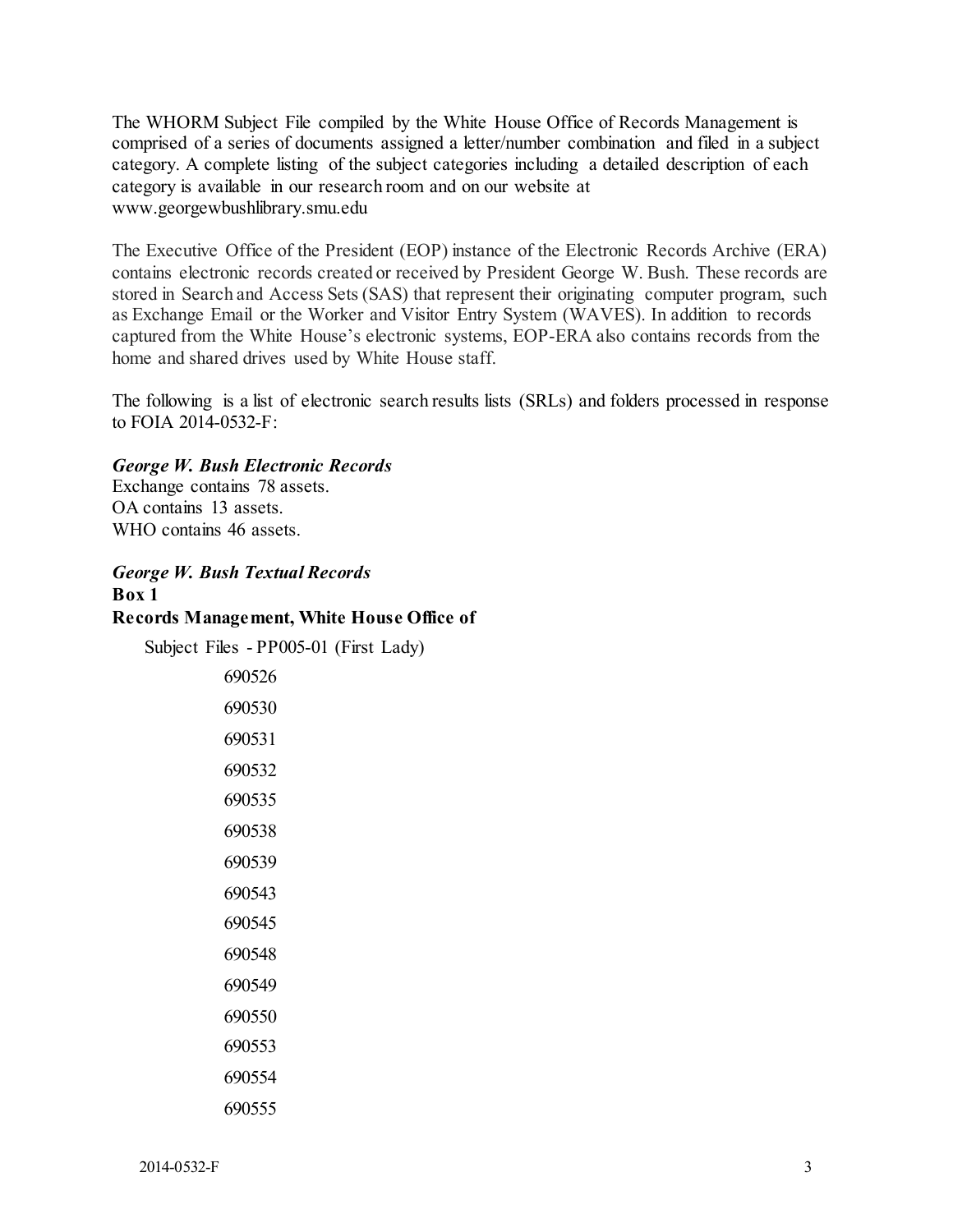The WHORM Subject File compiled by the White House Office of Records Management is comprised of a series of documents assigned a letter/number combination and filed in a subject category. A complete listing of the subject categories including a detailed description of each category is available in our research room and on our website at <www.georgewbushlibrary.smu.edu>

 The Executive Office of the President (EOP) instance of the Electronic Records Archive (ERA) stored in Search and Access Sets (SAS) that represent their originating computer program, such as Exchange Email or the Worker and Visitor Entry System (WAVES). In addition to records captured from the White House's electronic systems, EOP-ERA also contains records from the contains electronic records created or received by President George W. Bush. These records are home and shared drives used by White House staff.

 The following is a list of electronic search results lists (SRLs) and folders processed in response to FOIA 2014-0532-F:

## *George W. Bush Electronic Records*

 Exchange contains 78 assets. OA contains 13 assets. WHO contains 46 assets.

## *George W. Bush Textual Records*  **Box 1 Records Management, White House Office of**

Subject Files - PP005-01 (First Lady)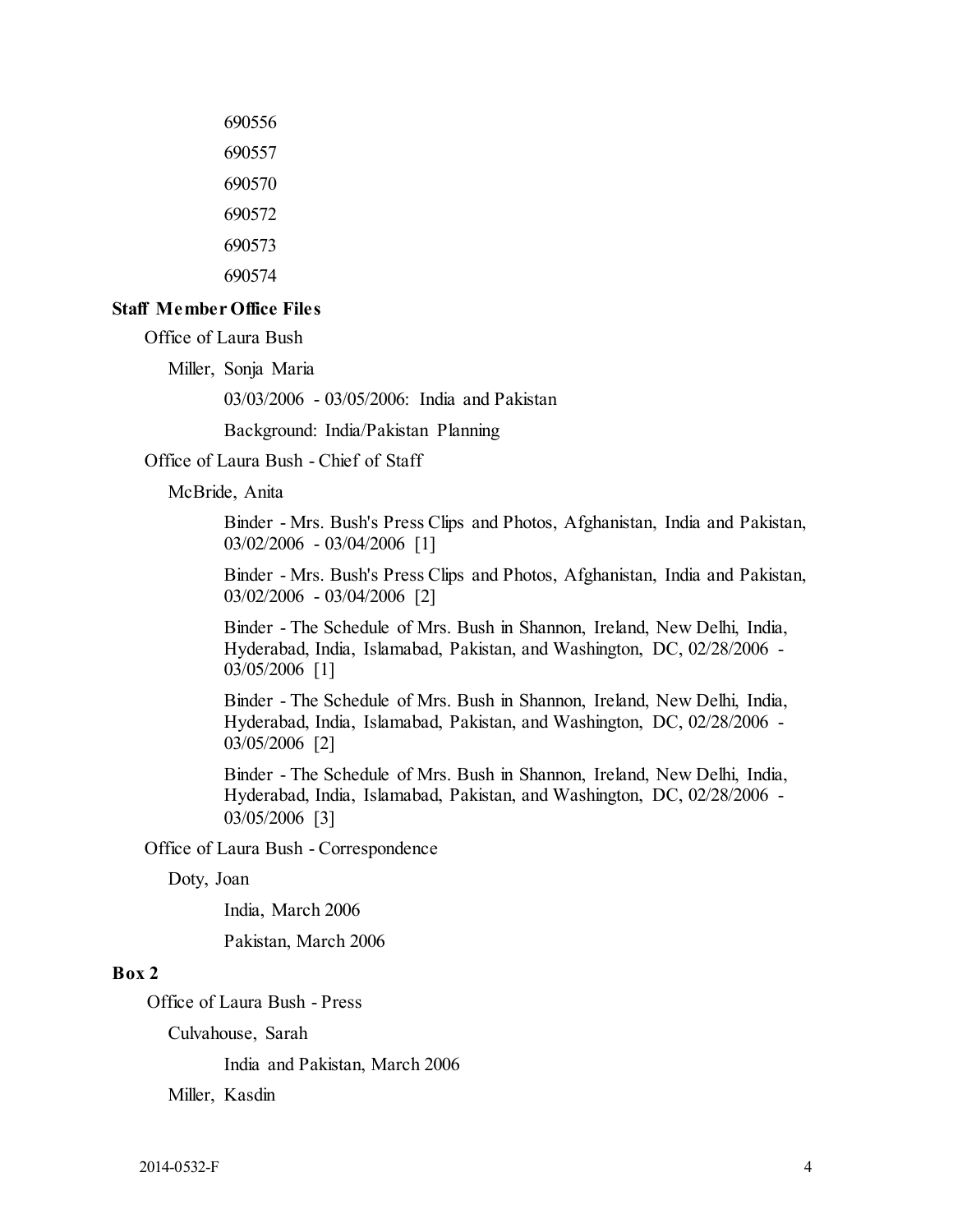#### **Staff Member Office Files**

Office of Laura Bush

Miller, Sonja Maria

03/03/2006 - 03/05/2006: India and Pakistan

Background: India/Pakistan Planning

Office of Laura Bush - Chief of Staff

McBride, Anita

 Binder - Mrs. Bush's Press Clips and Photos, Afghanistan, India and Pakistan, 03/02/2006 - 03/04/2006 [1]

 Binder - Mrs. Bush's Press Clips and Photos, Afghanistan, India and Pakistan, 03/02/2006 - 03/04/2006 [2]

 Binder - The Schedule of Mrs. Bush in Shannon, Ireland, New Delhi, India, Hyderabad, India, Islamabad, Pakistan, and Washington, DC, 02/28/2006 - 03/05/2006 [1]

 Binder - The Schedule of Mrs. Bush in Shannon, Ireland, New Delhi, India, Hyderabad, India, Islamabad, Pakistan, and Washington, DC, 02/28/2006 - 03/05/2006 [2]

 Binder - The Schedule of Mrs. Bush in Shannon, Ireland, New Delhi, India, Hyderabad, India, Islamabad, Pakistan, and Washington, DC, 02/28/2006 - 03/05/2006 [3]

Office of Laura Bush - Correspondence

Doty, Joan

India, March 2006

Pakistan, March 2006

#### **Box 2**

Office of Laura Bush - Press

Culvahouse, Sarah

India and Pakistan, March 2006

Miller, Kasdin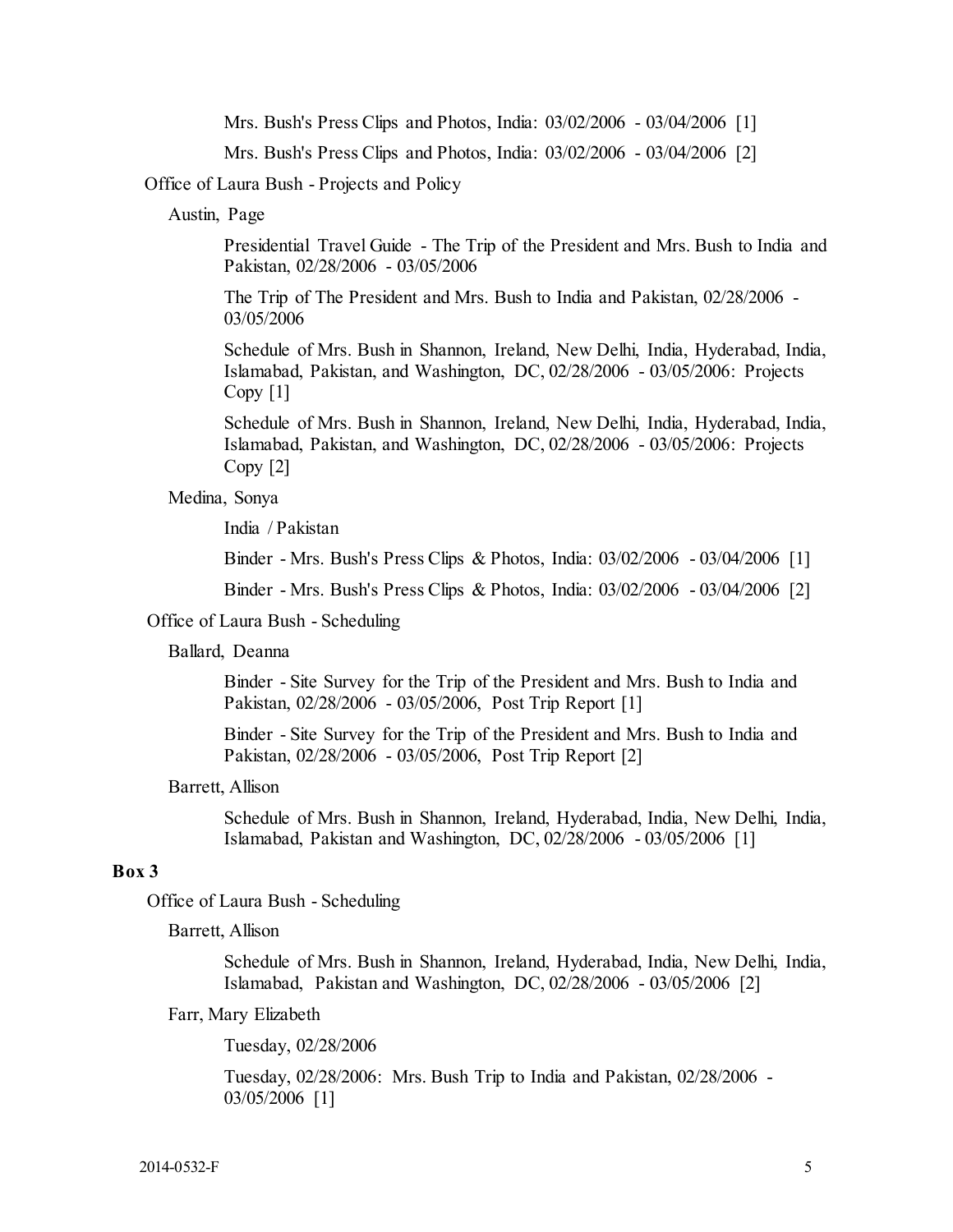Mrs. Bush's Press Clips and Photos, India: 03/02/2006 - 03/04/2006 [1]

Mrs. Bush's Press Clips and Photos, India: 03/02/2006 - 03/04/2006 [2]

Office of Laura Bush - Projects and Policy

Austin, Page

Presidential Travel Guide - The Trip of the President and Mrs. Bush to India and Pakistan, 02/28/2006 - 03/05/2006

The Trip of The President and Mrs. Bush to India and Pakistan, 02/28/2006 - 03/05/2006

 Schedule of Mrs. Bush in Shannon, Ireland, New Delhi, India, Hyderabad, India, Islamabad, Pakistan, and Washington, DC, 02/28/2006 - 03/05/2006: Projects Copy [1]

 Schedule of Mrs. Bush in Shannon, Ireland, New Delhi, India, Hyderabad, India, Islamabad, Pakistan, and Washington, DC, 02/28/2006 - 03/05/2006: Projects Copy [2]

#### Medina, Sonya

India / Pakistan

Binder - Mrs. Bush's Press Clips & Photos, India: 03/02/2006 - 03/04/2006 [1]

Binder - Mrs. Bush's Press Clips & Photos, India: 03/02/2006 - 03/04/2006 [2]

#### Office of Laura Bush - Scheduling

#### Ballard, Deanna

 Pakistan, 02/28/2006 - 03/05/2006, Post Trip Report [1] Binder - Site Survey for the Trip of the President and Mrs. Bush to India and

 Pakistan, 02/28/2006 - 03/05/2006, Post Trip Report [2] Binder - Site Survey for the Trip of the President and Mrs. Bush to India and

#### Barrett, Allison

 Schedule of Mrs. Bush in Shannon, Ireland, Hyderabad, India, New Delhi, India, Islamabad, Pakistan and Washington, DC, 02/28/2006 - 03/05/2006 [1]

## **Box 3**

Office of Laura Bush - Scheduling

#### Barrett, Allison

 Schedule of Mrs. Bush in Shannon, Ireland, Hyderabad, India, New Delhi, India, Islamabad, Pakistan and Washington, DC, 02/28/2006 - 03/05/2006 [2]

#### Farr, Mary Elizabeth

Tuesday, 02/28/2006

 Tuesday, 02/28/2006: Mrs. Bush Trip to India and Pakistan, 02/28/2006 - 03/05/2006 [1]